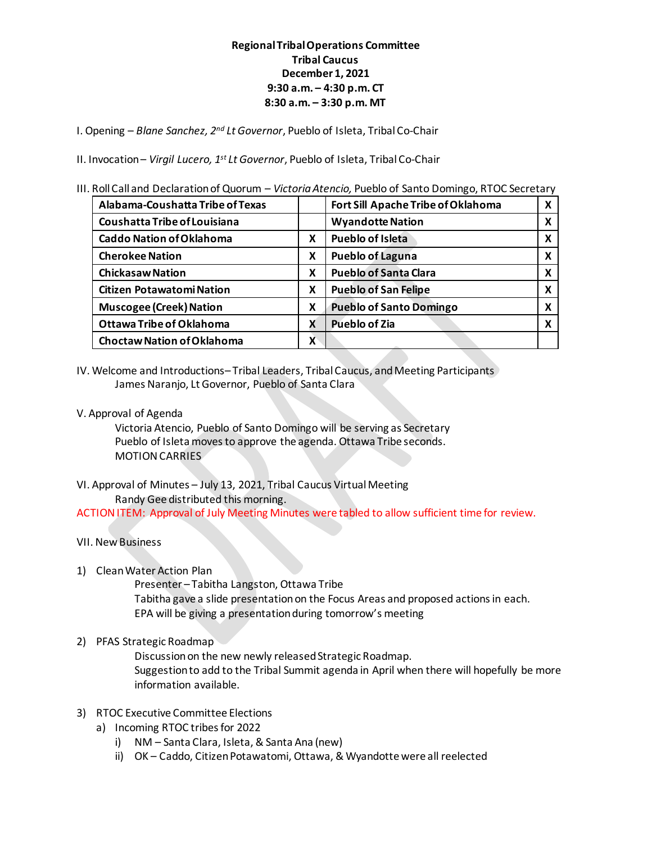## **Regional Tribal Operations Committee Tribal Caucus December 1, 2021 9:30 a.m. – 4:30 p.m. CT 8:30 a.m. – 3:30 p.m. MT**

I. Opening – *Blane Sanchez, 2nd Lt Governor*, Pueblo of Isleta, Tribal Co‐Chair

II. Invocation– *Virgil Lucero, 1st Lt Governor*, Pueblo of Isleta, Tribal Co‐Chair

III. Roll Call and Declaration of Quorum – *Victoria Atencio,* Pueblo of Santo Domingo, RTOC Secretary

| Alabama-Coushatta Tribe of Texas  |   | Fort Sill Apache Tribe of Oklahoma |   |
|-----------------------------------|---|------------------------------------|---|
| Coushatta Tribe of Louisiana      |   | <b>Wyandotte Nation</b>            | x |
| <b>Caddo Nation of Oklahoma</b>   | X | <b>Pueblo of Isleta</b>            | x |
| <b>Cherokee Nation</b>            | X | <b>Pueblo of Laguna</b>            | х |
| <b>Chickasaw Nation</b>           | X | <b>Pueblo of Santa Clara</b>       | x |
| <b>Citizen Potawatomi Nation</b>  | X | <b>Pueblo of San Felipe</b>        | х |
| <b>Muscogee (Creek) Nation</b>    | X | <b>Pueblo of Santo Domingo</b>     | x |
| <b>Ottawa Tribe of Oklahoma</b>   | x | <b>Pueblo of Zia</b>               |   |
| <b>Choctaw Nation of Oklahoma</b> | X |                                    |   |

- IV. Welcome and Introductions– Tribal Leaders, Tribal Caucus, and Meeting Participants James Naranjo, Lt Governor, Pueblo of Santa Clara
- V. Approval of Agenda

Victoria Atencio, Pueblo of Santo Domingo will be serving as Secretary Pueblo of Isleta moves to approve the agenda. Ottawa Tribe seconds. MOTION CARRIES

VI. Approval of Minutes – July 13, 2021, Tribal Caucus Virtual Meeting Randy Gee distributed this morning.

ACTION ITEM: Approval of July Meeting Minutes were tabled to allow sufficient time for review.

- VII. New Business
- 1) Clean Water Action Plan

Presenter – Tabitha Langston, Ottawa Tribe Tabitha gave a slide presentation on the Focus Areas and proposed actions in each. EPA will be giving a presentation during tomorrow's meeting

## 2) PFAS Strategic Roadmap

Discussion on the new newly released Strategic Roadmap. Suggestion to add to the Tribal Summit agenda in April when there will hopefully be more information available.

## 3) RTOC Executive Committee Elections

- a) Incoming RTOC tribes for 2022
	- i) NM Santa Clara, Isleta, & Santa Ana (new)
	- ii) OK Caddo, Citizen Potawatomi, Ottawa, & Wyandotte were all reelected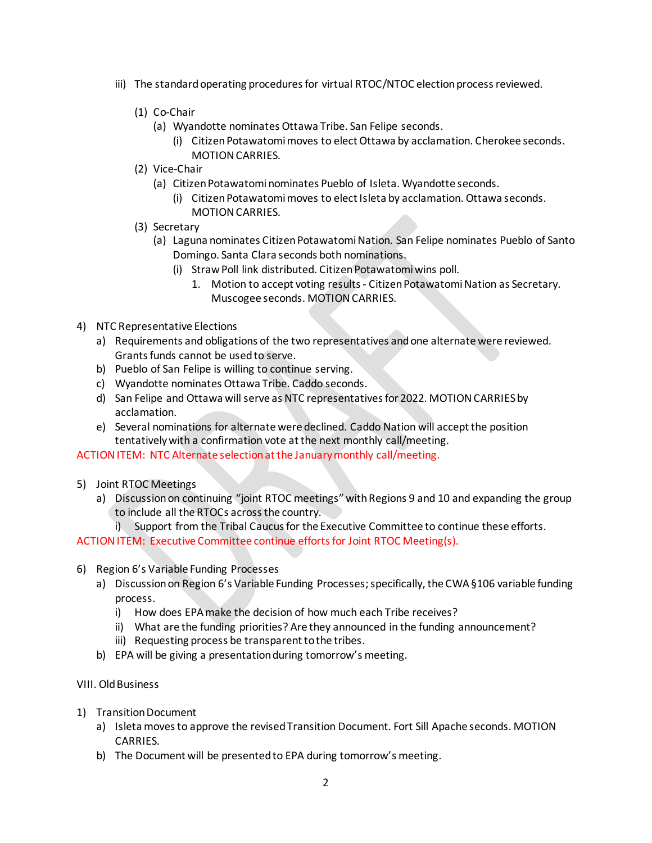- iii) The standard operating procedures for virtual RTOC/NTOC election process reviewed.
	- (1) Co-Chair
		- (a) Wyandotte nominates Ottawa Tribe. San Felipe seconds.
			- (i) Citizen Potawatomimoves to elect Ottawa by acclamation. Cherokee seconds. MOTION CARRIES.
	- (2) Vice-Chair
		- (a) Citizen Potawatomi nominates Pueblo of Isleta. Wyandotte seconds.
			- (i) Citizen Potawatomi moves to elect Isleta by acclamation. Ottawa seconds. MOTION CARRIES.
	- (3) Secretary
		- (a) Laguna nominates Citizen PotawatomiNation. San Felipe nominates Pueblo of Santo Domingo. Santa Clara seconds both nominations.
			- (i) Straw Poll link distributed. Citizen Potawatomi wins poll.
				- 1. Motion to accept voting results Citizen Potawatomi Nation as Secretary. Muscogee seconds. MOTION CARRIES.
- 4) NTC Representative Elections
	- a) Requirements and obligations of the two representatives andone alternate were reviewed. Grants funds cannot be used to serve.
	- b) Pueblo of San Felipe is willing to continue serving.
	- c) Wyandotte nominates Ottawa Tribe. Caddo seconds.
	- d) San Felipe and Ottawa will serve as NTC representatives for 2022. MOTION CARRIES by acclamation.
	- e) Several nominations for alternate were declined. Caddo Nation will accept the position tentatively with a confirmation vote at the next monthly call/meeting.

ACTION ITEM: NTC Alternate selection at the January monthly call/meeting.

- 5) Joint RTOC Meetings
	- a) Discussion on continuing "joint RTOC meetings" with Regions 9 and 10 and expanding the group to include all the RTOCs across the country.
		- i) Support from the Tribal Caucus for the Executive Committee to continue these efforts.

ACTION ITEM: Executive Committee continue efforts for Joint RTOC Meeting(s).

- 6) Region 6's Variable Funding Processes
	- a) Discussion on Region 6's Variable Funding Processes; specifically, the CWA §106 variable funding process.
		- i) How does EPA make the decision of how much each Tribe receives?
		- ii) What are the funding priorities? Are they announced in the funding announcement?
		- iii) Requesting process be transparent to the tribes.
	- b) EPA will be giving a presentation during tomorrow's meeting.
- VIII. Old Business
- 1) Transition Document
	- a) Isleta moves to approve the revised Transition Document. Fort Sill Apache seconds. MOTION CARRIES.
	- b) The Document will be presented to EPA during tomorrow's meeting.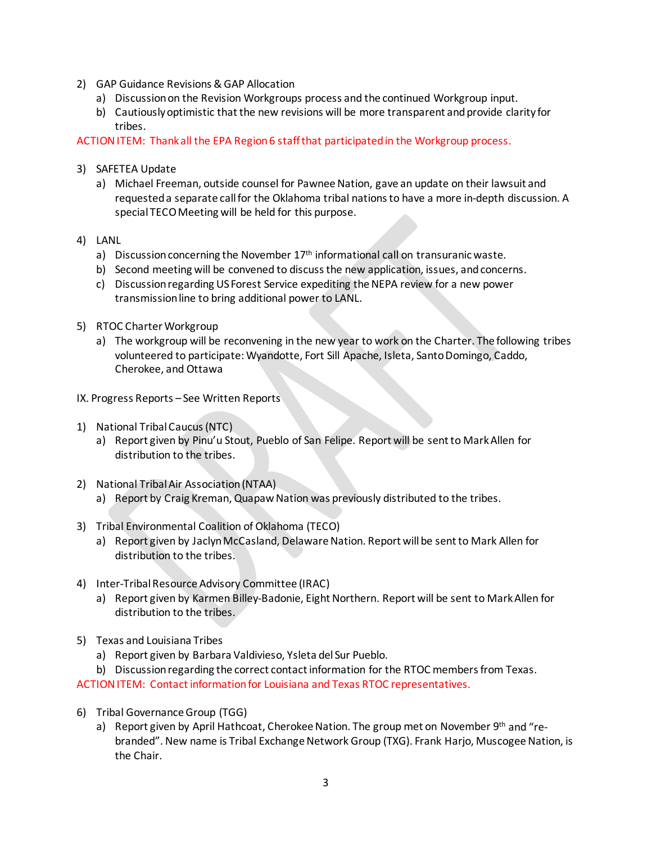- 2) GAP Guidance Revisions & GAP Allocation
	- a) Discussion on the Revision Workgroups process and the continued Workgroup input.
	- b) Cautiously optimistic that the new revisions will be more transparent and provide clarity for tribes.

ACTION ITEM: Thank all the EPA Region 6 staff that participated in the Workgroup process.

- 3) SAFETEA Update
	- a) Michael Freeman, outside counsel for Pawnee Nation, gave an update on their lawsuit and requested a separate call for the Oklahoma tribal nations to have a more in-depth discussion. A special TECO Meeting will be held for this purpose.
- 4) LANL
	- a) Discussion concerning the November  $17<sup>th</sup>$  informational call on transuranic waste.
	- b) Second meeting will be convened to discuss the new application, issues, and concerns.
	- c) Discussion regarding US Forest Service expediting the NEPA review for a new power transmission line to bring additional power to LANL.
- 5) RTOC Charter Workgroup
	- a) The workgroup will be reconvening in the new year to work on the Charter. The following tribes volunteered to participate: Wyandotte, Fort Sill Apache, Isleta, Santo Domingo, Caddo, Cherokee, and Ottawa
- IX. Progress Reports See Written Reports
- 1) National Tribal Caucus (NTC)
	- a) Report given by Pinu'u Stout, Pueblo of San Felipe. Report will be sent to Mark Allen for distribution to the tribes.
- 2) National Tribal Air Association (NTAA)
	- a) Report by Craig Kreman, Quapaw Nation was previously distributed to the tribes.
- 3) Tribal Environmental Coalition of Oklahoma (TECO)
	- a) Report given by Jaclyn McCasland, Delaware Nation. Report will be sent to Mark Allen for distribution to the tribes.
- 4) Inter-Tribal Resource Advisory Committee (IRAC)
	- a) Report given by Karmen Billey-Badonie, Eight Northern. Report will be sent to Mark Allen for distribution to the tribes.
- 5) Texas and Louisiana Tribes
	- a) Report given by Barbara Valdivieso, Ysleta del Sur Pueblo.
	- b) Discussion regarding the correct contact information for the RTOC members from Texas.

ACTION ITEM: Contact information for Louisiana and Texas RTOC representatives.

- 6) Tribal Governance Group (TGG)
	- a) Report given by April Hathcoat, Cherokee Nation. The group met on November 9th and "rebranded". New name is Tribal Exchange Network Group (TXG). Frank Harjo, Muscogee Nation, is the Chair.